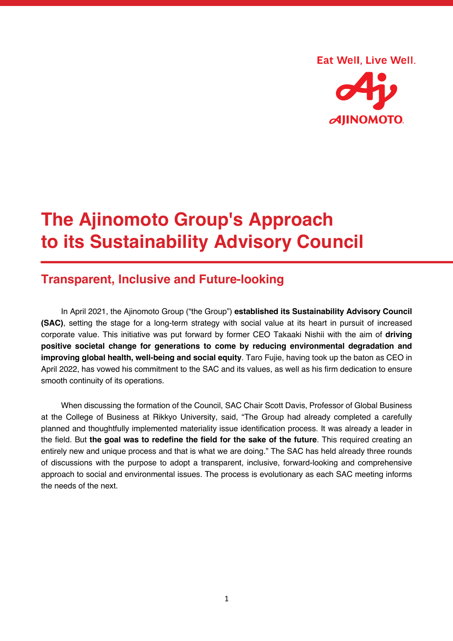#### Eat Well, Live Well.



# **The Ajinomoto Group's Approach to its Sustainability Advisory Council**

# **Transparent, Inclusive and Future-looking**

In April 2021, the Ajinomoto Group ("the Group") **established its Sustainability Advisory Council (SAC)**, setting the stage for a long-term strategy with social value at its heart in pursuit of increased corporate value. This initiative was put forward by former CEO Takaaki Nishii with the aim of **driving positive societal change for generations to come by reducing environmental degradation and improving global health, well-being and social equity**. Taro Fujie, having took up the baton as CEO in April 2022, has vowed his commitment to the SAC and its values, as well as his firm dedication to ensure smooth continuity of its operations.

When discussing the formation of the Council, SAC Chair Scott Davis, Professor of Global Business at the College of Business at Rikkyo University, said, "The Group had already completed a carefully planned and thoughtfully implemented materiality issue identification process. It was already a leader in the field. But **the goal was to redefine the field for the sake of the future**. This required creating an entirely new and unique process and that is what we are doing." The SAC has held already three rounds of discussions with the purpose to adopt a transparent, inclusive, forward-looking and comprehensive approach to social and environmental issues. The process is evolutionary as each SAC meeting informs the needs of the next.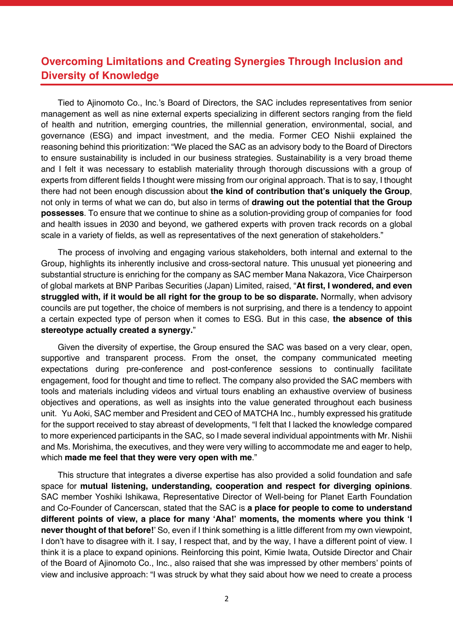# **Overcoming Limitations and Creating Synergies Through Inclusion and Diversity of Knowledge**

Tied to Ajinomoto Co., Inc.'s Board of Directors, the SAC includes representatives from senior management as well as nine external experts specializing in different sectors ranging from the field of health and nutrition, emerging countries, the millennial generation, environmental, social, and governance (ESG) and impact investment, and the media. Former CEO Nishii explained the reasoning behind this prioritization: "We placed the SAC as an advisory body to the Board of Directors to ensure sustainability is included in our business strategies. Sustainability is a very broad theme and I felt it was necessary to establish materiality through thorough discussions with a group of experts from different fields I thought were missing from our original approach. That is to say, I thought there had not been enough discussion about **the kind of contribution that's uniquely the Group**, not only in terms of what we can do, but also in terms of **drawing out the potential that the Group possesses**. To ensure that we continue to shine as a solution-providing group of companies for food and health issues in 2030 and beyond, we gathered experts with proven track records on a global scale in a variety of fields, as well as representatives of the next generation of stakeholders."

The process of involving and engaging various stakeholders, both internal and external to the Group, highlights its inherently inclusive and cross-sectoral nature. This unusual yet pioneering and substantial structure is enriching for the company as SAC member Mana Nakazora, Vice Chairperson of global markets at BNP Paribas Securities (Japan) Limited, raised, "**At first, I wondered, and even struggled with, if it would be all right for the group to be so disparate.** Normally, when advisory councils are put together, the choice of members is not surprising, and there is a tendency to appoint a certain expected type of person when it comes to ESG. But in this case, **the absence of this stereotype actually created a synergy.**"

Given the diversity of expertise, the Group ensured the SAC was based on a very clear, open, supportive and transparent process. From the onset, the company communicated meeting expectations during pre-conference and post-conference sessions to continually facilitate engagement, food for thought and time to reflect. The company also provided the SAC members with tools and materials including videos and virtual tours enabling an exhaustive overview of business objectives and operations, as well as insights into the value generated throughout each business unit. Yu Aoki, SAC member and President and CEO of MATCHA Inc., humbly expressed his gratitude for the support received to stay abreast of developments, "I felt that I lacked the knowledge compared to more experienced participants in the SAC, so I made several individual appointments with Mr. Nishii and Ms. Morishima, the executives, and they were very willing to accommodate me and eager to help, which **made me feel that they were very open with me**."

This structure that integrates a diverse expertise has also provided a solid foundation and safe space for **mutual listening, understanding, cooperation and respect for diverging opinions**. SAC member Yoshiki Ishikawa, Representative Director of Well-being for Planet Earth Foundation and Co-Founder of Cancerscan, stated that the SAC is **a place for people to come to understand different points of view, a place for many 'Aha!' moments, the moments where you think 'I never thought of that before!**' So, even if I think something is a little different from my own viewpoint, I don't have to disagree with it. I say, I respect that, and by the way, I have a different point of view. I think it is a place to expand opinions. Reinforcing this point, Kimie Iwata, Outside Director and Chair of the Board of Ajinomoto Co., Inc., also raised that she was impressed by other members' points of view and inclusive approach: "I was struck by what they said about how we need to create a process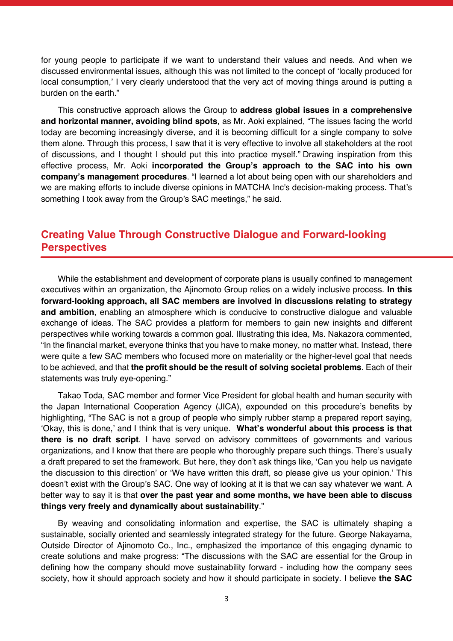for young people to participate if we want to understand their values and needs. And when we discussed environmental issues, although this was not limited to the concept of 'locally produced for local consumption,' I very clearly understood that the very act of moving things around is putting a burden on the earth."

This constructive approach allows the Group to **address global issues in a comprehensive and horizontal manner, avoiding blind spots**, as Mr. Aoki explained, "The issues facing the world today are becoming increasingly diverse, and it is becoming difficult for a single company to solve them alone. Through this process, I saw that it is very effective to involve all stakeholders at the root of discussions, and I thought I should put this into practice myself." Drawing inspiration from this effective process, Mr. Aoki **incorporated the Group's approach to the SAC into his own company's management procedures**. "I learned a lot about being open with our shareholders and we are making efforts to include diverse opinions in MATCHA Inc's decision-making process. That's something I took away from the Group's SAC meetings," he said.

## **Creating Value Through Constructive Dialogue and Forward-looking Perspectives**

While the establishment and development of corporate plans is usually confined to management executives within an organization, the Ajinomoto Group relies on a widely inclusive process. **In this forward-looking approach, all SAC members are involved in discussions relating to strategy and ambition**, enabling an atmosphere which is conducive to constructive dialogue and valuable exchange of ideas. The SAC provides a platform for members to gain new insights and different perspectives while working towards a common goal. Illustrating this idea, Ms. Nakazora commented, "In the financial market, everyone thinks that you have to make money, no matter what. Instead, there were quite a few SAC members who focused more on materiality or the higher-level goal that needs to be achieved, and that **the profit should be the result of solving societal problems**. Each of their statements was truly eye-opening."

Takao Toda, SAC member and former Vice President for global health and human security with the Japan International Cooperation Agency (JICA), expounded on this procedure's benefits by highlighting, "The SAC is not a group of people who simply rubber stamp a prepared report saying, 'Okay, this is done,' and I think that is very unique. **What's wonderful about this process is that there is no draft script**. I have served on advisory committees of governments and various organizations, and I know that there are people who thoroughly prepare such things. There's usually a draft prepared to set the framework. But here, they don't ask things like, 'Can you help us navigate the discussion to this direction' or 'We have written this draft, so please give us your opinion.' This doesn't exist with the Group's SAC. One way of looking at it is that we can say whatever we want. A better way to say it is that **over the past year and some months, we have been able to discuss things very freely and dynamically about sustainability**."

By weaving and consolidating information and expertise, the SAC is ultimately shaping a sustainable, socially oriented and seamlessly integrated strategy for the future. George Nakayama, Outside Director of Ajinomoto Co., Inc., emphasized the importance of this engaging dynamic to create solutions and make progress: "The discussions with the SAC are essential for the Group in defining how the company should move sustainability forward - including how the company sees society, how it should approach society and how it should participate in society. I believe **the SAC**